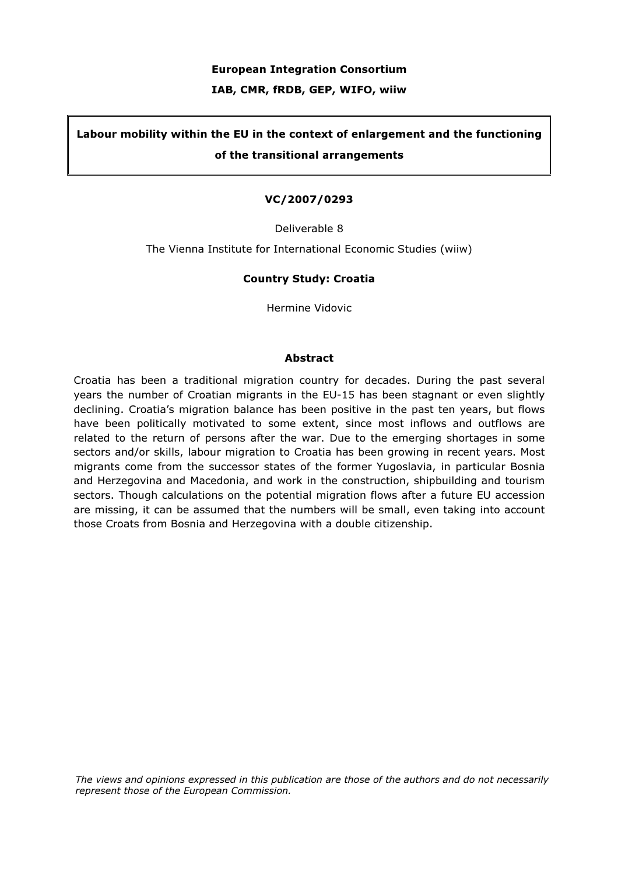#### European Integration Consortium

#### IAB, CMR, fRDB, GEP, WIFO, wiiw

# Labour mobility within the EU in the context of enlargement and the functioning of the transitional arrangements

#### VC/2007/0293

Deliverable 8

The Vienna Institute for International Economic Studies (wiiw)

#### Country Study: Croatia

Hermine Vidovic

#### Abstract

Croatia has been a traditional migration country for decades. During the past several years the number of Croatian migrants in the EU-15 has been stagnant or even slightly declining. Croatia's migration balance has been positive in the past ten years, but flows have been politically motivated to some extent, since most inflows and outflows are related to the return of persons after the war. Due to the emerging shortages in some sectors and/or skills, labour migration to Croatia has been growing in recent years. Most migrants come from the successor states of the former Yugoslavia, in particular Bosnia and Herzegovina and Macedonia, and work in the construction, shipbuilding and tourism sectors. Though calculations on the potential migration flows after a future EU accession are missing, it can be assumed that the numbers will be small, even taking into account those Croats from Bosnia and Herzegovina with a double citizenship.

The views and opinions expressed in this publication are those of the authors and do not necessarily represent those of the European Commission.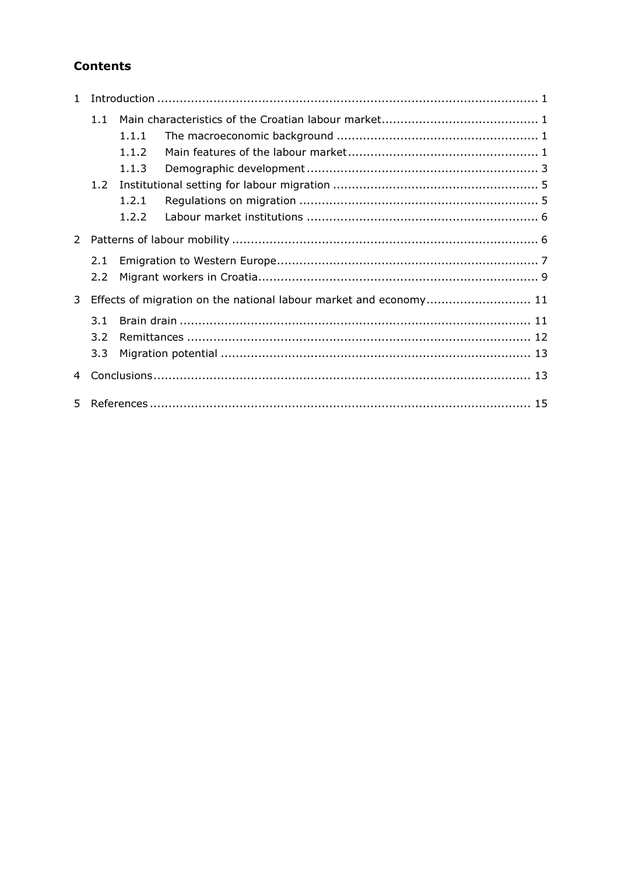# **Contents**

|                | 1.1 |       |                                                                   |  |
|----------------|-----|-------|-------------------------------------------------------------------|--|
|                |     | 1.1.1 |                                                                   |  |
|                |     | 1.1.2 |                                                                   |  |
|                |     | 1.1.3 |                                                                   |  |
|                |     |       |                                                                   |  |
|                |     | 1.2.1 |                                                                   |  |
|                |     | 1.2.2 |                                                                   |  |
| $2^{\circ}$    |     |       |                                                                   |  |
|                | 2.1 |       |                                                                   |  |
|                | 2.2 |       |                                                                   |  |
| 3              |     |       | Effects of migration on the national labour market and economy 11 |  |
|                | 3.1 |       |                                                                   |  |
|                | 3.2 |       |                                                                   |  |
|                | 3.3 |       |                                                                   |  |
| $\overline{4}$ |     |       |                                                                   |  |
| 5.             |     |       |                                                                   |  |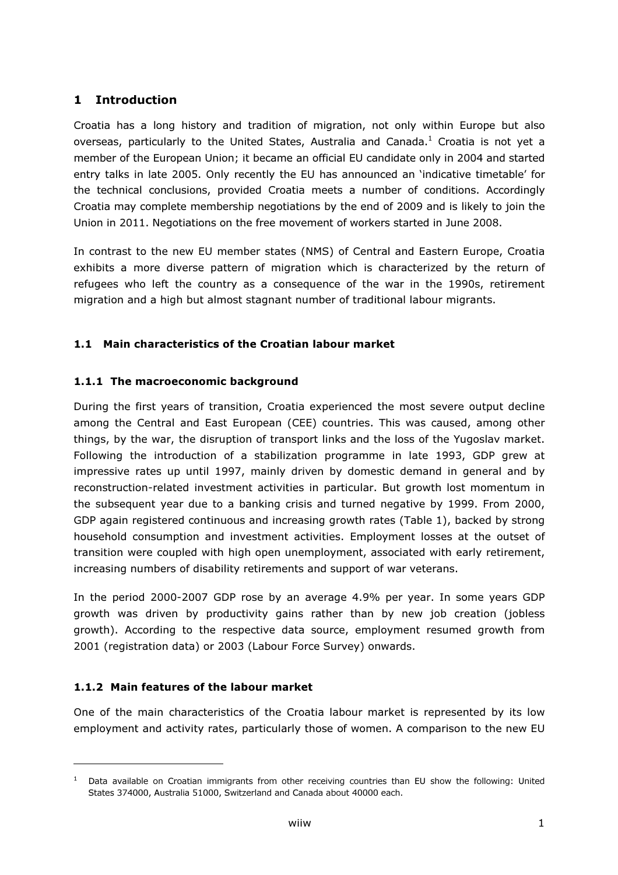# 1 Introduction

Croatia has a long history and tradition of migration, not only within Europe but also overseas, particularly to the United States, Australia and Canada. $^1$  Croatia is not yet a member of the European Union; it became an official EU candidate only in 2004 and started entry talks in late 2005. Only recently the EU has announced an 'indicative timetable' for the technical conclusions, provided Croatia meets a number of conditions. Accordingly Croatia may complete membership negotiations by the end of 2009 and is likely to join the Union in 2011. Negotiations on the free movement of workers started in June 2008.

In contrast to the new EU member states (NMS) of Central and Eastern Europe, Croatia exhibits a more diverse pattern of migration which is characterized by the return of refugees who left the country as a consequence of the war in the 1990s, retirement migration and a high but almost stagnant number of traditional labour migrants.

### 1.1 Main characteristics of the Croatian labour market

### 1.1.1 The macroeconomic background

During the first years of transition, Croatia experienced the most severe output decline among the Central and East European (CEE) countries. This was caused, among other things, by the war, the disruption of transport links and the loss of the Yugoslav market. Following the introduction of a stabilization programme in late 1993, GDP grew at impressive rates up until 1997, mainly driven by domestic demand in general and by reconstruction-related investment activities in particular. But growth lost momentum in the subsequent year due to a banking crisis and turned negative by 1999. From 2000, GDP again registered continuous and increasing growth rates (Table 1), backed by strong household consumption and investment activities. Employment losses at the outset of transition were coupled with high open unemployment, associated with early retirement, increasing numbers of disability retirements and support of war veterans.

In the period 2000-2007 GDP rose by an average 4.9% per year. In some years GDP growth was driven by productivity gains rather than by new job creation (jobless growth). According to the respective data source, employment resumed growth from 2001 (registration data) or 2003 (Labour Force Survey) onwards.

### 1.1.2 Main features of the labour market

i,

One of the main characteristics of the Croatia labour market is represented by its low employment and activity rates, particularly those of women. A comparison to the new EU

<sup>&</sup>lt;sup>1</sup> Data available on Croatian immigrants from other receiving countries than EU show the following: United States 374000, Australia 51000, Switzerland and Canada about 40000 each.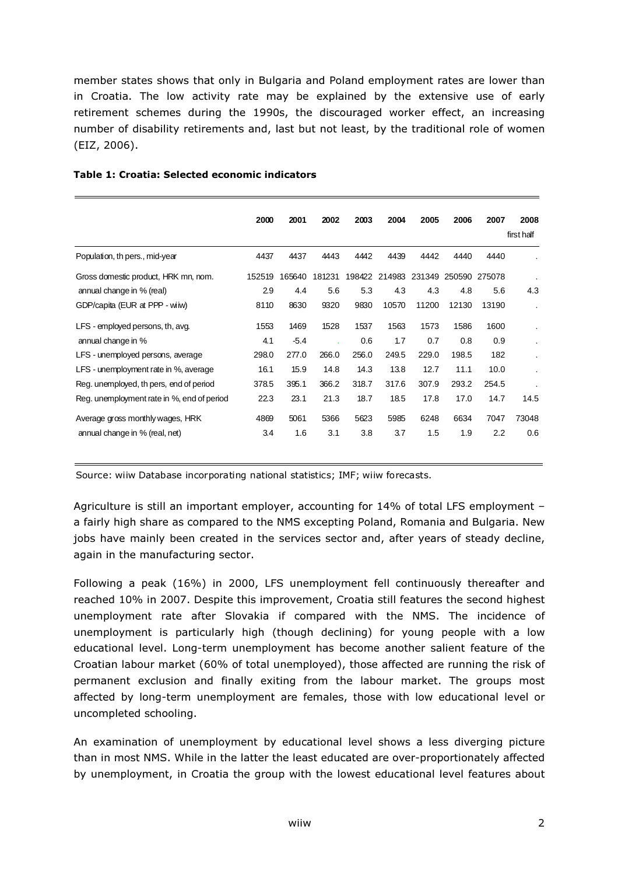member states shows that only in Bulgaria and Poland employment rates are lower than in Croatia. The low activity rate may be explained by the extensive use of early retirement schemes during the 1990s, the discouraged worker effect, an increasing number of disability retirements and, last but not least, by the traditional role of women (EIZ, 2006).

|                                            | 2000   | 2001   | 2002   | 2003   | 2004  | 2005          | 2006  | 2007          | 2008                 |
|--------------------------------------------|--------|--------|--------|--------|-------|---------------|-------|---------------|----------------------|
|                                            |        |        |        |        |       |               |       |               | first half           |
| Population, th pers., mid-year             | 4437   | 4437   | 4443   | 4442   | 4439  | 4442          | 4440  | 4440          |                      |
| Gross domestic product, HRK mn, nom.       | 152519 | 165640 | 181231 | 198422 |       | 214983 231349 |       | 250590 275078 |                      |
| annual change in % (real)                  | 2.9    | 4.4    | 5.6    | 5.3    | 4.3   | 4.3           | 4.8   | 5.6           | 4.3                  |
| GDP/capita (EUR at PPP - wiiw)             | 8110   | 8630   | 9320   | 9830   | 10570 | 11200         | 12130 | 13190         | $\bullet$            |
| LFS - employed persons, th, avg.           | 1553   | 1469   | 1528   | 1537   | 1563  | 1573          | 1586  | 1600          | $\cdot$              |
| annual change in %                         | 4.1    | $-5.4$ |        | 0.6    | 1.7   | 0.7           | 0.8   | 0.9           | $\cdot$              |
| LFS - unemployed persons, average          | 298.0  | 277.0  | 266.0  | 256.0  | 249.5 | 229.0         | 198.5 | 182           | $\ddot{\phantom{a}}$ |
| LFS - unemployment rate in %, average      | 16.1   | 15.9   | 14.8   | 14.3   | 13.8  | 12.7          | 11.1  | 10.0          | $\cdot$              |
| Reg. unemployed, th pers, end of period    | 378.5  | 395.1  | 366.2  | 318.7  | 317.6 | 307.9         | 293.2 | 254.5         | $\cdot$              |
| Reg. unemployment rate in %, end of period | 22.3   | 23.1   | 21.3   | 18.7   | 18.5  | 17.8          | 17.0  | 14.7          | 14.5                 |
| Average gross monthly wages, HRK           | 4869   | 5061   | 5366   | 5623   | 5985  | 6248          | 6634  | 7047          | 73048                |
| annual change in % (real, net)             | 3.4    | 1.6    | 3.1    | 3.8    | 3.7   | 1.5           | 1.9   | 2.2           | 0.6                  |

#### Table 1: Croatia: Selected economic indicators

Source: wiiw Database incorporating national statistics; IMF; wiiw forecasts.

Agriculture is still an important employer, accounting for 14% of total LFS employment – a fairly high share as compared to the NMS excepting Poland, Romania and Bulgaria. New jobs have mainly been created in the services sector and, after years of steady decline, again in the manufacturing sector.

Following a peak (16%) in 2000, LFS unemployment fell continuously thereafter and reached 10% in 2007. Despite this improvement, Croatia still features the second highest unemployment rate after Slovakia if compared with the NMS. The incidence of unemployment is particularly high (though declining) for young people with a low educational level. Long-term unemployment has become another salient feature of the Croatian labour market (60% of total unemployed), those affected are running the risk of permanent exclusion and finally exiting from the labour market. The groups most affected by long-term unemployment are females, those with low educational level or uncompleted schooling.

An examination of unemployment by educational level shows a less diverging picture than in most NMS. While in the latter the least educated are over-proportionately affected by unemployment, in Croatia the group with the lowest educational level features about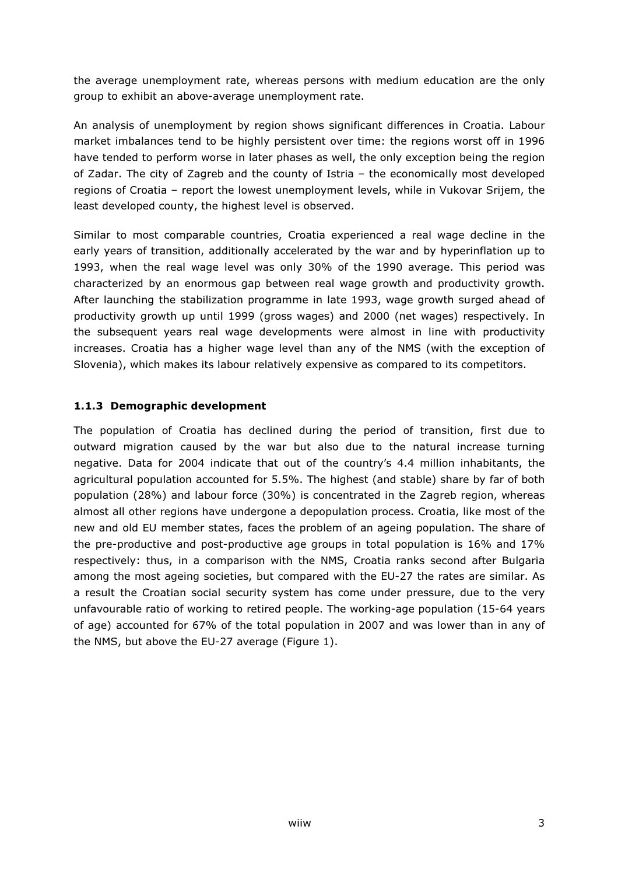the average unemployment rate, whereas persons with medium education are the only group to exhibit an above-average unemployment rate.

An analysis of unemployment by region shows significant differences in Croatia. Labour market imbalances tend to be highly persistent over time: the regions worst off in 1996 have tended to perform worse in later phases as well, the only exception being the region of Zadar. The city of Zagreb and the county of Istria – the economically most developed regions of Croatia – report the lowest unemployment levels, while in Vukovar Srijem, the least developed county, the highest level is observed.

Similar to most comparable countries, Croatia experienced a real wage decline in the early years of transition, additionally accelerated by the war and by hyperinflation up to 1993, when the real wage level was only 30% of the 1990 average. This period was characterized by an enormous gap between real wage growth and productivity growth. After launching the stabilization programme in late 1993, wage growth surged ahead of productivity growth up until 1999 (gross wages) and 2000 (net wages) respectively. In the subsequent years real wage developments were almost in line with productivity increases. Croatia has a higher wage level than any of the NMS (with the exception of Slovenia), which makes its labour relatively expensive as compared to its competitors.

### 1.1.3 Demographic development

The population of Croatia has declined during the period of transition, first due to outward migration caused by the war but also due to the natural increase turning negative. Data for 2004 indicate that out of the country's 4.4 million inhabitants, the agricultural population accounted for 5.5%. The highest (and stable) share by far of both population (28%) and labour force (30%) is concentrated in the Zagreb region, whereas almost all other regions have undergone a depopulation process. Croatia, like most of the new and old EU member states, faces the problem of an ageing population. The share of the pre-productive and post-productive age groups in total population is 16% and 17% respectively: thus, in a comparison with the NMS, Croatia ranks second after Bulgaria among the most ageing societies, but compared with the EU-27 the rates are similar. As a result the Croatian social security system has come under pressure, due to the very unfavourable ratio of working to retired people. The working-age population (15-64 years of age) accounted for 67% of the total population in 2007 and was lower than in any of the NMS, but above the EU-27 average (Figure 1).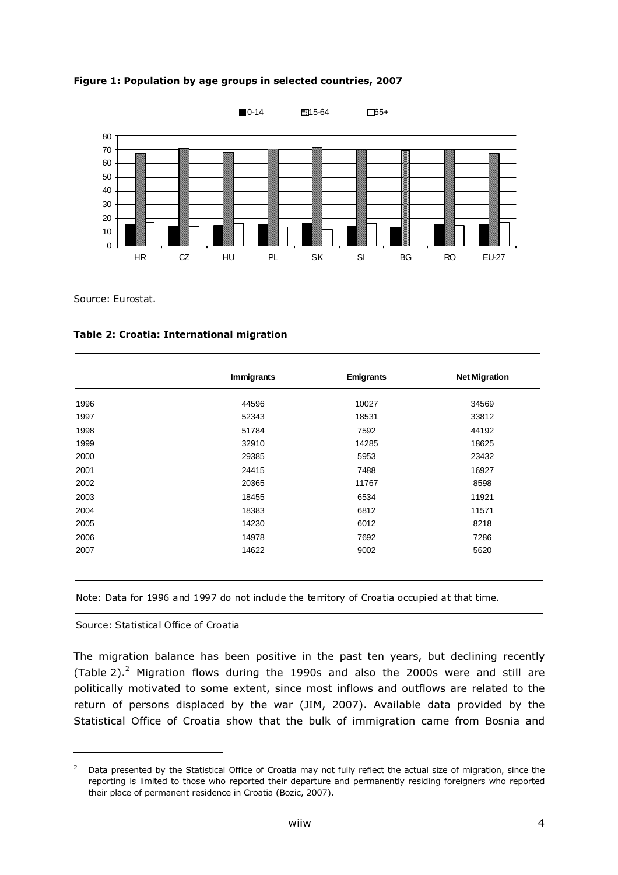Figure 1: Population by age groups in selected countries, 2007



Source: Eurostat.

Table 2: Croatia: International migration

|      | <b>Immigrants</b> | <b>Emigrants</b> | <b>Net Migration</b> |
|------|-------------------|------------------|----------------------|
| 1996 | 44596             | 10027            | 34569                |
| 1997 | 52343             | 18531            | 33812                |
| 1998 | 51784             | 7592             | 44192                |
| 1999 | 32910             | 14285            | 18625                |
| 2000 | 29385             | 5953             | 23432                |
| 2001 | 24415             | 7488             | 16927                |
| 2002 | 20365             | 11767            | 8598                 |
| 2003 | 18455             | 6534             | 11921                |
| 2004 | 18383             | 6812             | 11571                |
| 2005 | 14230             | 6012             | 8218                 |
| 2006 | 14978             | 7692             | 7286                 |
| 2007 | 14622             | 9002             | 5620                 |

Note: Data for 1996 and 1997 do not include the territory of Croatia occupied at that time.

Source: Statistical Office of Croatia

l

The migration balance has been positive in the past ten years, but declining recently (Table 2). $^2$  Migration flows during the 1990s and also the 2000s were and still are politically motivated to some extent, since most inflows and outflows are related to the return of persons displaced by the war (JIM, 2007). Available data provided by the Statistical Office of Croatia show that the bulk of immigration came from Bosnia and

 $2$  Data presented by the Statistical Office of Croatia may not fully reflect the actual size of migration, since the reporting is limited to those who reported their departure and permanently residing foreigners who reported their place of permanent residence in Croatia (Bozic, 2007).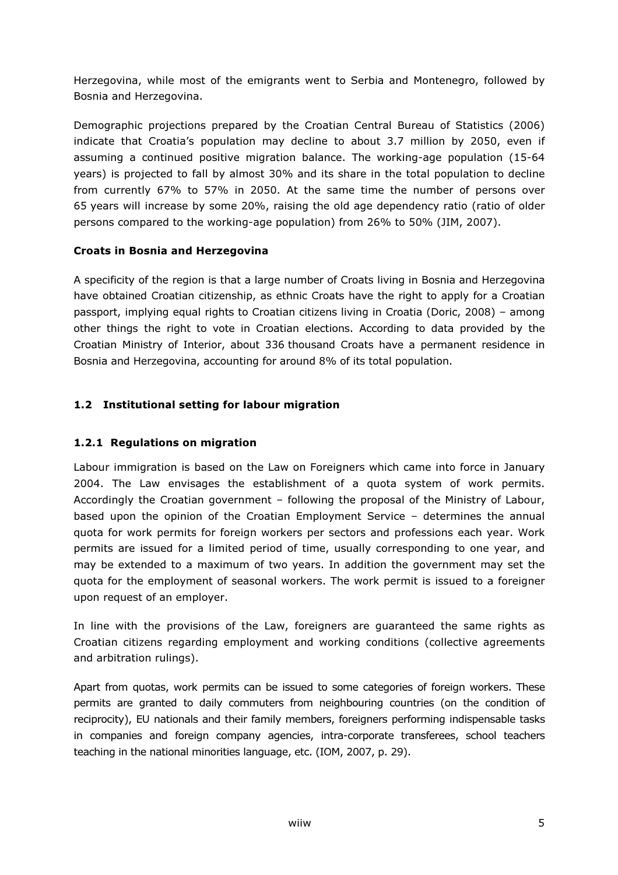Herzegovina, while most of the emigrants went to Serbia and Montenegro, followed by Bosnia and Herzegovina.

Demographic projections prepared by the Croatian Central Bureau of Statistics (2006) indicate that Croatia's population may decline to about 3.7 million by 2050, even if assuming a continued positive migration balance. The working-age population (15-64 years) is projected to fall by almost 30% and its share in the total population to decline from currently 67% to 57% in 2050. At the same time the number of persons over 65 years will increase by some 20%, raising the old age dependency ratio (ratio of older persons compared to the working-age population) from 26% to 50% (JIM, 2007).

### Croats in Bosnia and Herzegovina

A specificity of the region is that a large number of Croats living in Bosnia and Herzegovina have obtained Croatian citizenship, as ethnic Croats have the right to apply for a Croatian passport, implying equal rights to Croatian citizens living in Croatia (Doric, 2008) – among other things the right to vote in Croatian elections. According to data provided by the Croatian Ministry of Interior, about 336 thousand Croats have a permanent residence in Bosnia and Herzegovina, accounting for around 8% of its total population.

### 1.2 Institutional setting for labour migration

### 1.2.1 Regulations on migration

Labour immigration is based on the Law on Foreigners which came into force in January 2004. The Law envisages the establishment of a quota system of work permits. Accordingly the Croatian government – following the proposal of the Ministry of Labour, based upon the opinion of the Croatian Employment Service – determines the annual quota for work permits for foreign workers per sectors and professions each year. Work permits are issued for a limited period of time, usually corresponding to one year, and may be extended to a maximum of two years. In addition the government may set the quota for the employment of seasonal workers. The work permit is issued to a foreigner upon request of an employer.

In line with the provisions of the Law, foreigners are guaranteed the same rights as Croatian citizens regarding employment and working conditions (collective agreements and arbitration rulings).

Apart from quotas, work permits can be issued to some categories of foreign workers. These permits are granted to daily commuters from neighbouring countries (on the condition of reciprocity), EU nationals and their family members, foreigners performing indispensable tasks in companies and foreign company agencies, intra-corporate transferees, school teachers teaching in the national minorities language, etc. (IOM, 2007, p. 29).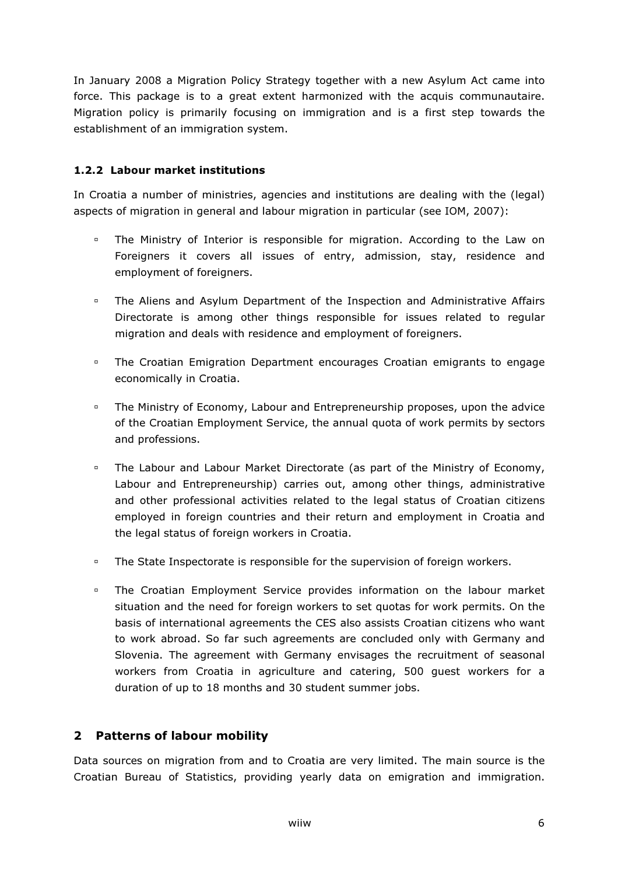In January 2008 a Migration Policy Strategy together with a new Asylum Act came into force. This package is to a great extent harmonized with the acquis communautaire. Migration policy is primarily focusing on immigration and is a first step towards the establishment of an immigration system.

### 1.2.2 Labour market institutions

In Croatia a number of ministries, agencies and institutions are dealing with the (legal) aspects of migration in general and labour migration in particular (see IOM, 2007):

- The Ministry of Interior is responsible for migration. According to the Law on Foreigners it covers all issues of entry, admission, stay, residence and employment of foreigners.
- **The Aliens and Asylum Department of the Inspection and Administrative Affairs** Directorate is among other things responsible for issues related to regular migration and deals with residence and employment of foreigners.
- The Croatian Emigration Department encourages Croatian emigrants to engage economically in Croatia.
- The Ministry of Economy, Labour and Entrepreneurship proposes, upon the advice of the Croatian Employment Service, the annual quota of work permits by sectors and professions.
- The Labour and Labour Market Directorate (as part of the Ministry of Economy, Labour and Entrepreneurship) carries out, among other things, administrative and other professional activities related to the legal status of Croatian citizens employed in foreign countries and their return and employment in Croatia and the legal status of foreign workers in Croatia.
- **The State Inspectorate is responsible for the supervision of foreign workers.**
- The Croatian Employment Service provides information on the labour market situation and the need for foreign workers to set quotas for work permits. On the basis of international agreements the CES also assists Croatian citizens who want to work abroad. So far such agreements are concluded only with Germany and Slovenia. The agreement with Germany envisages the recruitment of seasonal workers from Croatia in agriculture and catering, 500 guest workers for a duration of up to 18 months and 30 student summer jobs.

### 2 Patterns of labour mobility

Data sources on migration from and to Croatia are very limited. The main source is the Croatian Bureau of Statistics, providing yearly data on emigration and immigration.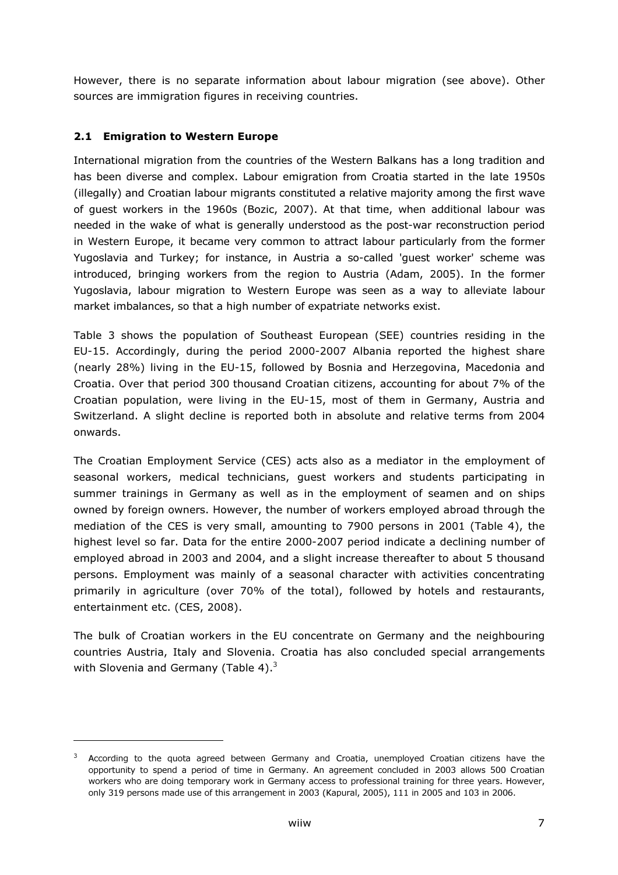However, there is no separate information about labour migration (see above). Other sources are immigration figures in receiving countries.

### 2.1 Emigration to Western Europe

-

International migration from the countries of the Western Balkans has a long tradition and has been diverse and complex. Labour emigration from Croatia started in the late 1950s (illegally) and Croatian labour migrants constituted a relative majority among the first wave of guest workers in the 1960s (Bozic, 2007). At that time, when additional labour was needed in the wake of what is generally understood as the post-war reconstruction period in Western Europe, it became very common to attract labour particularly from the former Yugoslavia and Turkey; for instance, in Austria a so-called 'guest worker' scheme was introduced, bringing workers from the region to Austria (Adam, 2005). In the former Yugoslavia, labour migration to Western Europe was seen as a way to alleviate labour market imbalances, so that a high number of expatriate networks exist.

Table 3 shows the population of Southeast European (SEE) countries residing in the EU-15. Accordingly, during the period 2000-2007 Albania reported the highest share (nearly 28%) living in the EU-15, followed by Bosnia and Herzegovina, Macedonia and Croatia. Over that period 300 thousand Croatian citizens, accounting for about 7% of the Croatian population, were living in the EU-15, most of them in Germany, Austria and Switzerland. A slight decline is reported both in absolute and relative terms from 2004 onwards.

The Croatian Employment Service (CES) acts also as a mediator in the employment of seasonal workers, medical technicians, guest workers and students participating in summer trainings in Germany as well as in the employment of seamen and on ships owned by foreign owners. However, the number of workers employed abroad through the mediation of the CES is very small, amounting to 7900 persons in 2001 (Table 4), the highest level so far. Data for the entire 2000-2007 period indicate a declining number of employed abroad in 2003 and 2004, and a slight increase thereafter to about 5 thousand persons. Employment was mainly of a seasonal character with activities concentrating primarily in agriculture (over 70% of the total), followed by hotels and restaurants, entertainment etc. (CES, 2008).

The bulk of Croatian workers in the EU concentrate on Germany and the neighbouring countries Austria, Italy and Slovenia. Croatia has also concluded special arrangements with Slovenia and Germany (Table 4).<sup>3</sup>

 $3$  According to the quota agreed between Germany and Croatia, unemployed Croatian citizens have the opportunity to spend a period of time in Germany. An agreement concluded in 2003 allows 500 Croatian workers who are doing temporary work in Germany access to professional training for three years. However, only 319 persons made use of this arrangement in 2003 (Kapural, 2005), 111 in 2005 and 103 in 2006.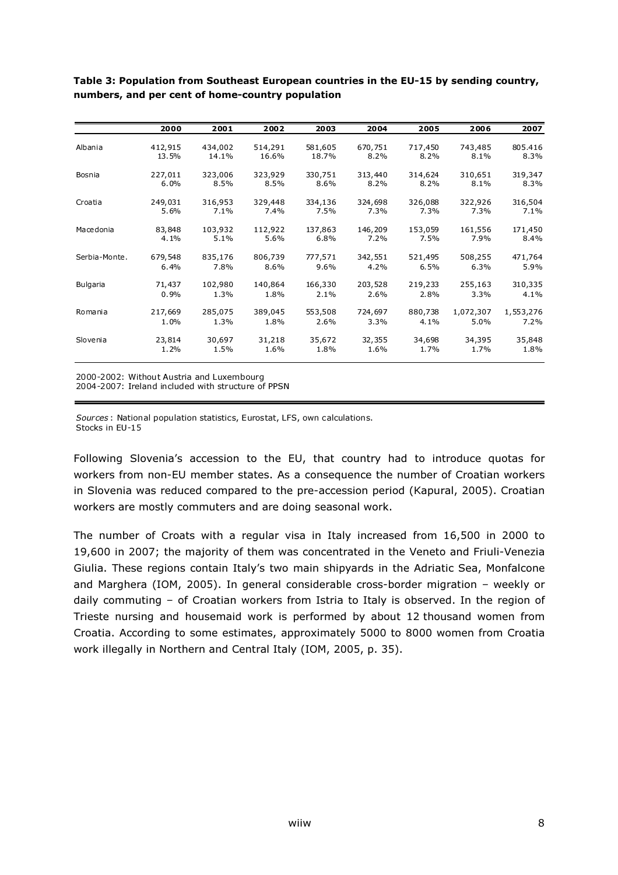|               | 2000    | 2001    | 2002    | 2003    | 2004    | 2005    | 2006      | 2007      |
|---------------|---------|---------|---------|---------|---------|---------|-----------|-----------|
|               |         |         |         |         |         |         |           |           |
| Albania       | 412,915 | 434,002 | 514,291 | 581,605 | 670,751 | 717,450 | 743,485   | 805.416   |
|               | 13.5%   | 14.1%   | 16.6%   | 18.7%   | 8.2%    | 8.2%    | 8.1%      | 8.3%      |
| Bosnia        | 227,011 | 323,006 | 323,929 | 330,751 | 313,440 | 314,624 | 310,651   | 319,347   |
|               | 6.0%    | 8.5%    | 8.5%    | 8.6%    | 8.2%    | 8.2%    | 8.1%      | 8.3%      |
| Croatia       | 249,031 | 316,953 | 329,448 | 334,136 | 324,698 | 326,088 | 322,926   | 316,504   |
|               | 5.6%    | 7.1%    | 7.4%    | $7.5\%$ | 7.3%    | 7.3%    | 7.3%      | 7.1%      |
| Macedonia     | 83,848  | 103,932 | 112,922 | 137,863 | 146,209 | 153,059 | 161,556   | 171,450   |
|               | 4.1%    | 5.1%    | 5.6%    | 6.8%    | 7.2%    | 7.5%    | 7.9%      | 8.4%      |
| Serbia-Monte. | 679,548 | 835,176 | 806,739 | 777,571 | 342,551 | 521,495 | 508,255   | 471,764   |
|               | 6.4%    | 7.8%    | 8.6%    | 9.6%    | 4.2%    | 6.5%    | 6.3%      | 5.9%      |
| Bulgaria      | 71,437  | 102,980 | 140,864 | 166,330 | 203,528 | 219,233 | 255,163   | 310,335   |
|               | 0.9%    | 1.3%    | 1.8%    | 2.1%    | 2.6%    | 2.8%    | 3.3%      | 4.1%      |
| Romania       | 217,669 | 285,075 | 389,045 | 553,508 | 724,697 | 880,738 | 1,072,307 | 1,553,276 |
|               | 1.0%    | 1.3%    | 1.8%    | 2.6%    | 3.3%    | 4.1%    | 5.0%      | 7.2%      |
| Slovenia      | 23,814  | 30,697  | 31,218  | 35,672  | 32,355  | 34,698  | 34,395    | 35,848    |
|               | 1.2%    | 1.5%    | 1.6%    | 1.8%    | 1.6%    | 1.7%    | 1.7%      | 1.8%      |
|               |         |         |         |         |         |         |           |           |

Table 3: Population from Southeast European countries in the EU-15 by sending country, numbers, and per cent of home-country population

2000-2002: Without Austria and Luxembourg

2004-2007: Ireland included with structure of PPSN

Sources : National population statistics, Eurostat, LFS, own calculations. Stocks in EU-15

Following Slovenia's accession to the EU, that country had to introduce quotas for workers from non-EU member states. As a consequence the number of Croatian workers in Slovenia was reduced compared to the pre-accession period (Kapural, 2005). Croatian workers are mostly commuters and are doing seasonal work.

The number of Croats with a regular visa in Italy increased from 16,500 in 2000 to 19,600 in 2007; the majority of them was concentrated in the Veneto and Friuli-Venezia Giulia. These regions contain Italy's two main shipyards in the Adriatic Sea, Monfalcone and Marghera (IOM, 2005). In general considerable cross-border migration – weekly or daily commuting – of Croatian workers from Istria to Italy is observed. In the region of Trieste nursing and housemaid work is performed by about 12 thousand women from Croatia. According to some estimates, approximately 5000 to 8000 women from Croatia work illegally in Northern and Central Italy (IOM, 2005, p. 35).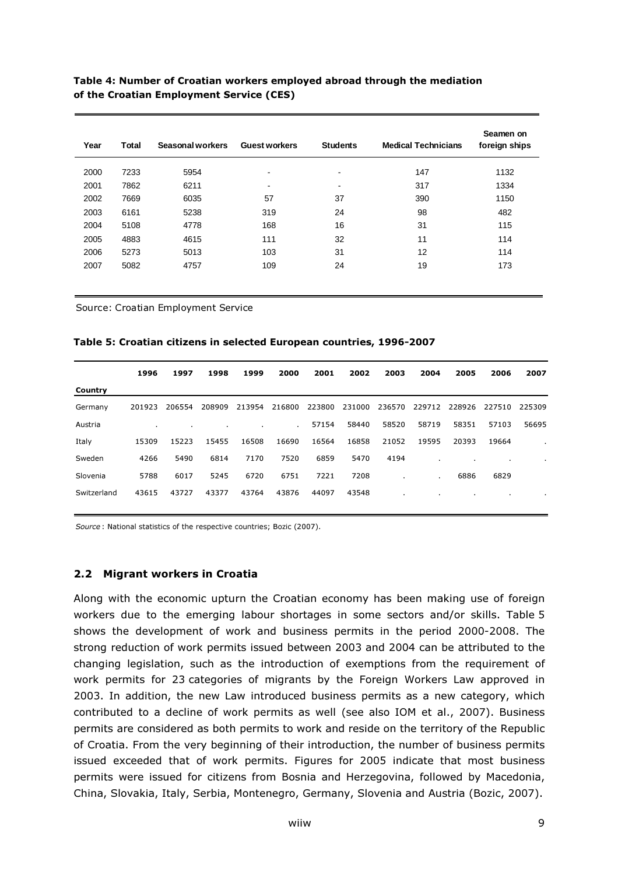#### Table 4: Number of Croatian workers employed abroad through the mediation of the Croatian Employment Service (CES)

| Year | Total | Seasonal workers | <b>Guest workers</b> | <b>Students</b> | <b>Medical Technicians</b> | Seamen on<br>foreign ships |
|------|-------|------------------|----------------------|-----------------|----------------------------|----------------------------|
| 2000 | 7233  | 5954             | $\blacksquare$       | $\,$            | 147                        | 1132                       |
| 2001 | 7862  | 6211             | $\,$                 | $\,$            | 317                        | 1334                       |
| 2002 | 7669  | 6035             | 57                   | 37              | 390                        | 1150                       |
| 2003 | 6161  | 5238             | 319                  | 24              | 98                         | 482                        |
| 2004 | 5108  | 4778             | 168                  | 16              | 31                         | 115                        |
| 2005 | 4883  | 4615             | 111                  | 32              | 11                         | 114                        |
| 2006 | 5273  | 5013             | 103                  | 31              | 12                         | 114                        |
| 2007 | 5082  | 4757             | 109                  | 24              | 19                         | 173                        |

Source: Croatian Employment Service

#### Table 5: Croatian citizens in selected European countries, 1996-2007

|             | 1996   | 1997   | 1998   | 1999   | 2000           | 2001   | 2002   | 2003   | 2004   | 2005   | 2006   | 2007   |
|-------------|--------|--------|--------|--------|----------------|--------|--------|--------|--------|--------|--------|--------|
| Country     |        |        |        |        |                |        |        |        |        |        |        |        |
| Germany     | 201923 | 206554 | 208909 | 213954 | 216800         | 223800 | 231000 | 236570 | 229712 | 228926 | 227510 | 225309 |
| Austria     |        |        |        |        | $\blacksquare$ | 57154  | 58440  | 58520  | 58719  | 58351  | 57103  | 56695  |
| Italy       | 15309  | 15223  | 15455  | 16508  | 16690          | 16564  | 16858  | 21052  | 19595  | 20393  | 19664  |        |
| Sweden      | 4266   | 5490   | 6814   | 7170   | 7520           | 6859   | 5470   | 4194   |        |        |        | ٠      |
| Slovenia    | 5788   | 6017   | 5245   | 6720   | 6751           | 7221   | 7208   |        | ٠      | 6886   | 6829   |        |
| Switzerland | 43615  | 43727  | 43377  | 43764  | 43876          | 44097  | 43548  |        |        |        |        |        |
|             |        |        |        |        |                |        |        |        |        |        |        |        |

Source : National statistics of the respective countries; Bozic (2007).

#### 2.2 Migrant workers in Croatia

Along with the economic upturn the Croatian economy has been making use of foreign workers due to the emerging labour shortages in some sectors and/or skills. Table 5 shows the development of work and business permits in the period 2000-2008. The strong reduction of work permits issued between 2003 and 2004 can be attributed to the changing legislation, such as the introduction of exemptions from the requirement of work permits for 23 categories of migrants by the Foreign Workers Law approved in 2003. In addition, the new Law introduced business permits as a new category, which contributed to a decline of work permits as well (see also IOM et al., 2007). Business permits are considered as both permits to work and reside on the territory of the Republic of Croatia. From the very beginning of their introduction, the number of business permits issued exceeded that of work permits. Figures for 2005 indicate that most business permits were issued for citizens from Bosnia and Herzegovina, followed by Macedonia, China, Slovakia, Italy, Serbia, Montenegro, Germany, Slovenia and Austria (Bozic, 2007).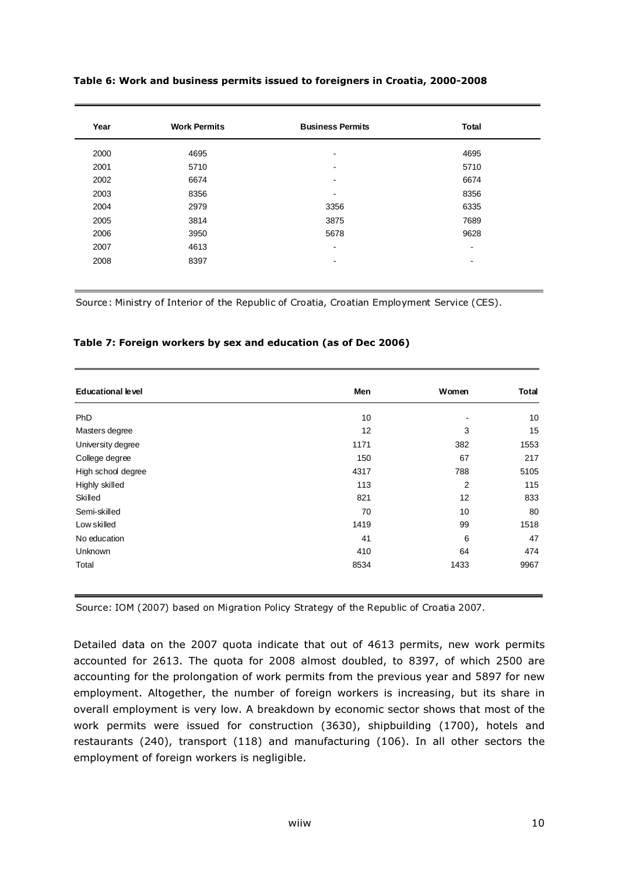| Year | <b>Work Permits</b> | <b>Business Permits</b>  | <b>Total</b>             |
|------|---------------------|--------------------------|--------------------------|
| 2000 | 4695                | $\blacksquare$           | 4695                     |
| 2001 | 5710                | $\blacksquare$           | 5710                     |
| 2002 | 6674                | $\blacksquare$           | 6674                     |
| 2003 | 8356                | $\blacksquare$           | 8356                     |
| 2004 | 2979                | 3356                     | 6335                     |
| 2005 | 3814                | 3875                     | 7689                     |
| 2006 | 3950                | 5678                     | 9628                     |
| 2007 | 4613                | $\overline{\phantom{a}}$ | $\blacksquare$           |
| 2008 | 8397                | $\blacksquare$           | $\overline{\phantom{a}}$ |

#### Table 6: Work and business permits issued to foreigners in Croatia, 2000-2008

Source: Ministry of Interior of the Republic of Croatia, Croatian Employment Service (CES).

#### Table 7: Foreign workers by sex and education (as of Dec 2006)

| <b>Educational level</b> | Men  | Women                    | <b>Total</b> |
|--------------------------|------|--------------------------|--------------|
| PhD                      | 10   | $\overline{\phantom{a}}$ | 10           |
| Masters degree           | 12   | 3                        | 15           |
| University degree        | 1171 | 382                      | 1553         |
| College degree           | 150  | 67                       | 217          |
| High school degree       | 4317 | 788                      | 5105         |
| Highly skilled           | 113  | 2                        | 115          |
| Skilled                  | 821  | 12                       | 833          |
| Semi-skilled             | 70   | 10                       | 80           |
| Low skilled              | 1419 | 99                       | 1518         |
| No education             | 41   | 6                        | 47           |
| Unknown                  | 410  | 64                       | 474          |
| Total                    | 8534 | 1433                     | 9967         |

Source: IOM (2007) based on Migration Policy Strategy of the Republic of Croatia 2007.

Detailed data on the 2007 quota indicate that out of 4613 permits, new work permits accounted for 2613. The quota for 2008 almost doubled, to 8397, of which 2500 are accounting for the prolongation of work permits from the previous year and 5897 for new employment. Altogether, the number of foreign workers is increasing, but its share in overall employment is very low. A breakdown by economic sector shows that most of the work permits were issued for construction (3630), shipbuilding (1700), hotels and restaurants (240), transport (118) and manufacturing (106). In all other sectors the employment of foreign workers is negligible.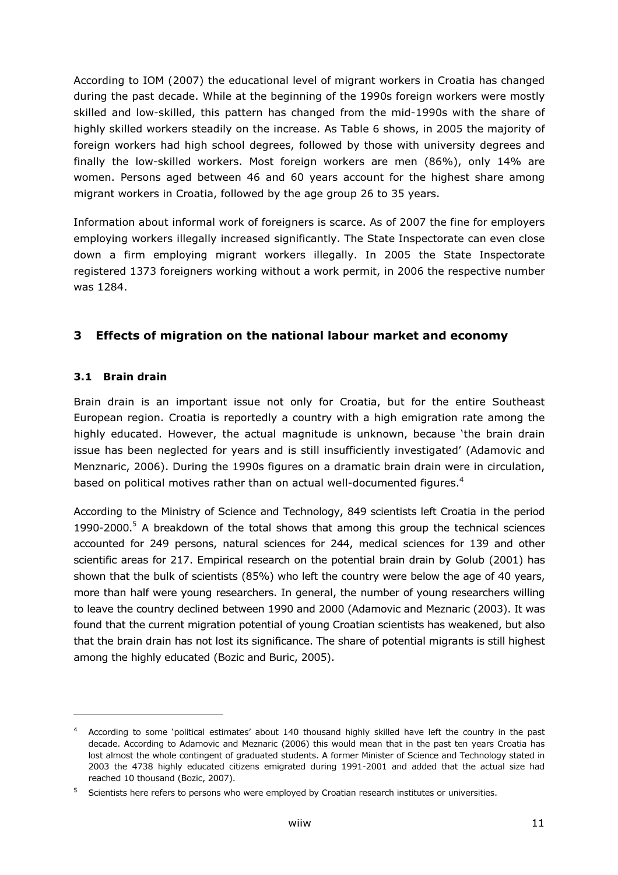According to IOM (2007) the educational level of migrant workers in Croatia has changed during the past decade. While at the beginning of the 1990s foreign workers were mostly skilled and low-skilled, this pattern has changed from the mid-1990s with the share of highly skilled workers steadily on the increase. As Table 6 shows, in 2005 the majority of foreign workers had high school degrees, followed by those with university degrees and finally the low-skilled workers. Most foreign workers are men (86%), only 14% are women. Persons aged between 46 and 60 years account for the highest share among migrant workers in Croatia, followed by the age group 26 to 35 years.

Information about informal work of foreigners is scarce. As of 2007 the fine for employers employing workers illegally increased significantly. The State Inspectorate can even close down a firm employing migrant workers illegally. In 2005 the State Inspectorate registered 1373 foreigners working without a work permit, in 2006 the respective number was 1284.

## 3 Effects of migration on the national labour market and economy

### 3.1 Brain drain

-

Brain drain is an important issue not only for Croatia, but for the entire Southeast European region. Croatia is reportedly a country with a high emigration rate among the highly educated. However, the actual magnitude is unknown, because 'the brain drain issue has been neglected for years and is still insufficiently investigated' (Adamovic and Menznaric, 2006). During the 1990s figures on a dramatic brain drain were in circulation, based on political motives rather than on actual well-documented figures.<sup>4</sup>

According to the Ministry of Science and Technology, 849 scientists left Croatia in the period 1990-2000. $5$  A breakdown of the total shows that among this group the technical sciences accounted for 249 persons, natural sciences for 244, medical sciences for 139 and other scientific areas for 217. Empirical research on the potential brain drain by Golub (2001) has shown that the bulk of scientists (85%) who left the country were below the age of 40 years, more than half were young researchers. In general, the number of young researchers willing to leave the country declined between 1990 and 2000 (Adamovic and Meznaric (2003). It was found that the current migration potential of young Croatian scientists has weakened, but also that the brain drain has not lost its significance. The share of potential migrants is still highest among the highly educated (Bozic and Buric, 2005).

<sup>4</sup> According to some 'political estimates' about 140 thousand highly skilled have left the country in the past decade. According to Adamovic and Meznaric (2006) this would mean that in the past ten years Croatia has lost almost the whole contingent of graduated students. A former Minister of Science and Technology stated in 2003 the 4738 highly educated citizens emigrated during 1991-2001 and added that the actual size had reached 10 thousand (Bozic, 2007).

<sup>&</sup>lt;sup>5</sup> Scientists here refers to persons who were employed by Croatian research institutes or universities.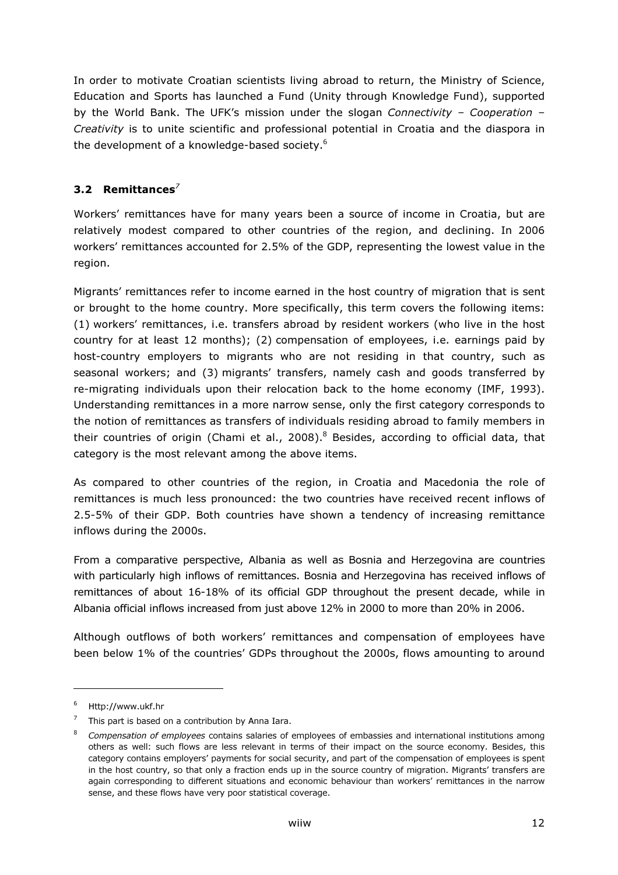In order to motivate Croatian scientists living abroad to return, the Ministry of Science, Education and Sports has launched a Fund (Unity through Knowledge Fund), supported by the World Bank. The UFK's mission under the slogan Connectivity - Cooperation -Creativity is to unite scientific and professional potential in Croatia and the diaspora in the development of a knowledge-based society.<sup>6</sup>

# 3.2 Remittances $^7$

Workers' remittances have for many years been a source of income in Croatia, but are relatively modest compared to other countries of the region, and declining. In 2006 workers' remittances accounted for 2.5% of the GDP, representing the lowest value in the region.

Migrants' remittances refer to income earned in the host country of migration that is sent or brought to the home country. More specifically, this term covers the following items: (1) workers' remittances, i.e. transfers abroad by resident workers (who live in the host country for at least 12 months); (2) compensation of employees, i.e. earnings paid by host-country employers to migrants who are not residing in that country, such as seasonal workers; and (3) migrants' transfers, namely cash and goods transferred by re-migrating individuals upon their relocation back to the home economy (IMF, 1993). Understanding remittances in a more narrow sense, only the first category corresponds to the notion of remittances as transfers of individuals residing abroad to family members in their countries of origin (Chami et al., 2008).<sup>8</sup> Besides, according to official data, that category is the most relevant among the above items.

As compared to other countries of the region, in Croatia and Macedonia the role of remittances is much less pronounced: the two countries have received recent inflows of 2.5-5% of their GDP. Both countries have shown a tendency of increasing remittance inflows during the 2000s.

From a comparative perspective, Albania as well as Bosnia and Herzegovina are countries with particularly high inflows of remittances. Bosnia and Herzegovina has received inflows of remittances of about 16-18% of its official GDP throughout the present decade, while in Albania official inflows increased from just above 12% in 2000 to more than 20% in 2006.

Although outflows of both workers' remittances and compensation of employees have been below 1% of the countries' GDPs throughout the 2000s, flows amounting to around

-

<sup>6</sup> Http://www.ukf.hr

 $7$  This part is based on a contribution by Anna Iara.

<sup>8</sup> Compensation of employees contains salaries of employees of embassies and international institutions among others as well: such flows are less relevant in terms of their impact on the source economy. Besides, this category contains employers' payments for social security, and part of the compensation of employees is spent in the host country, so that only a fraction ends up in the source country of migration. Migrants' transfers are again corresponding to different situations and economic behaviour than workers' remittances in the narrow sense, and these flows have very poor statistical coverage.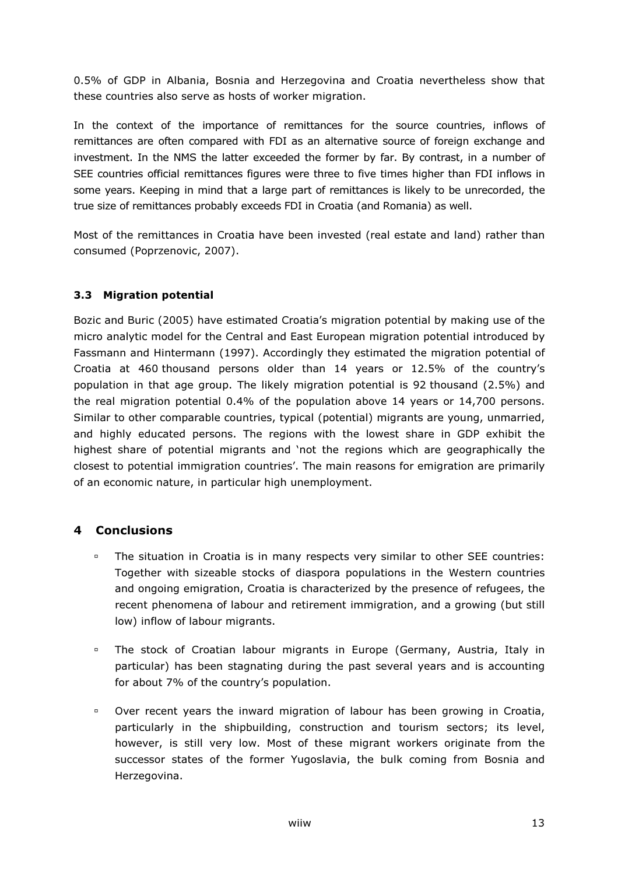0.5% of GDP in Albania, Bosnia and Herzegovina and Croatia nevertheless show that these countries also serve as hosts of worker migration.

In the context of the importance of remittances for the source countries, inflows of remittances are often compared with FDI as an alternative source of foreign exchange and investment. In the NMS the latter exceeded the former by far. By contrast, in a number of SEE countries official remittances figures were three to five times higher than FDI inflows in some years. Keeping in mind that a large part of remittances is likely to be unrecorded, the true size of remittances probably exceeds FDI in Croatia (and Romania) as well.

Most of the remittances in Croatia have been invested (real estate and land) rather than consumed (Poprzenovic, 2007).

### 3.3 Migration potential

Bozic and Buric (2005) have estimated Croatia's migration potential by making use of the micro analytic model for the Central and East European migration potential introduced by Fassmann and Hintermann (1997). Accordingly they estimated the migration potential of Croatia at 460 thousand persons older than 14 years or 12.5% of the country's population in that age group. The likely migration potential is 92 thousand (2.5%) and the real migration potential 0.4% of the population above 14 years or 14,700 persons. Similar to other comparable countries, typical (potential) migrants are young, unmarried, and highly educated persons. The regions with the lowest share in GDP exhibit the highest share of potential migrants and 'not the regions which are geographically the closest to potential immigration countries'. The main reasons for emigration are primarily of an economic nature, in particular high unemployment.

### 4 Conclusions

- The situation in Croatia is in many respects very similar to other SEE countries: Together with sizeable stocks of diaspora populations in the Western countries and ongoing emigration, Croatia is characterized by the presence of refugees, the recent phenomena of labour and retirement immigration, and a growing (but still low) inflow of labour migrants.
- The stock of Croatian labour migrants in Europe (Germany, Austria, Italy in particular) has been stagnating during the past several years and is accounting for about 7% of the country's population.
- Over recent years the inward migration of labour has been growing in Croatia, particularly in the shipbuilding, construction and tourism sectors; its level, however, is still very low. Most of these migrant workers originate from the successor states of the former Yugoslavia, the bulk coming from Bosnia and Herzegovina.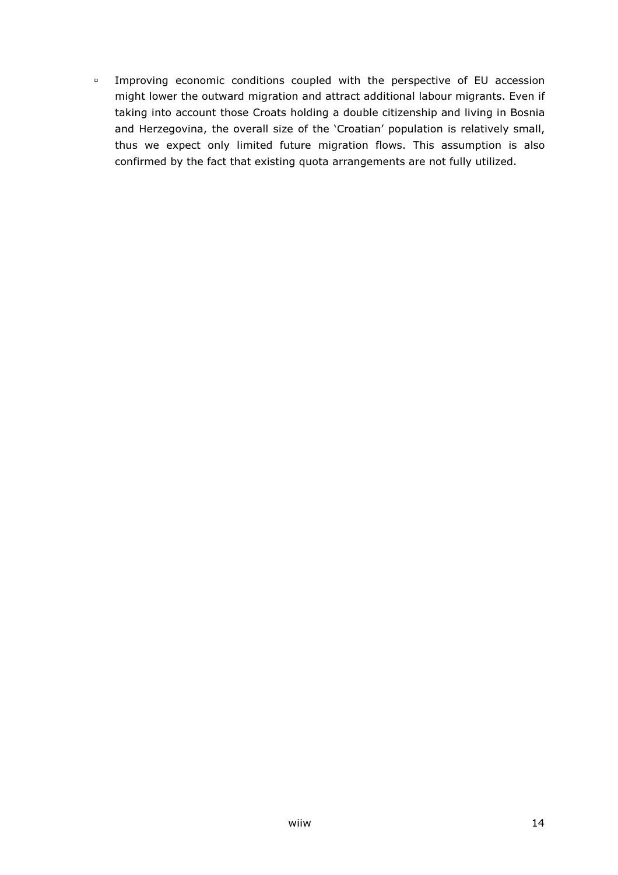Improving economic conditions coupled with the perspective of EU accession might lower the outward migration and attract additional labour migrants. Even if taking into account those Croats holding a double citizenship and living in Bosnia and Herzegovina, the overall size of the 'Croatian' population is relatively small, thus we expect only limited future migration flows. This assumption is also confirmed by the fact that existing quota arrangements are not fully utilized.